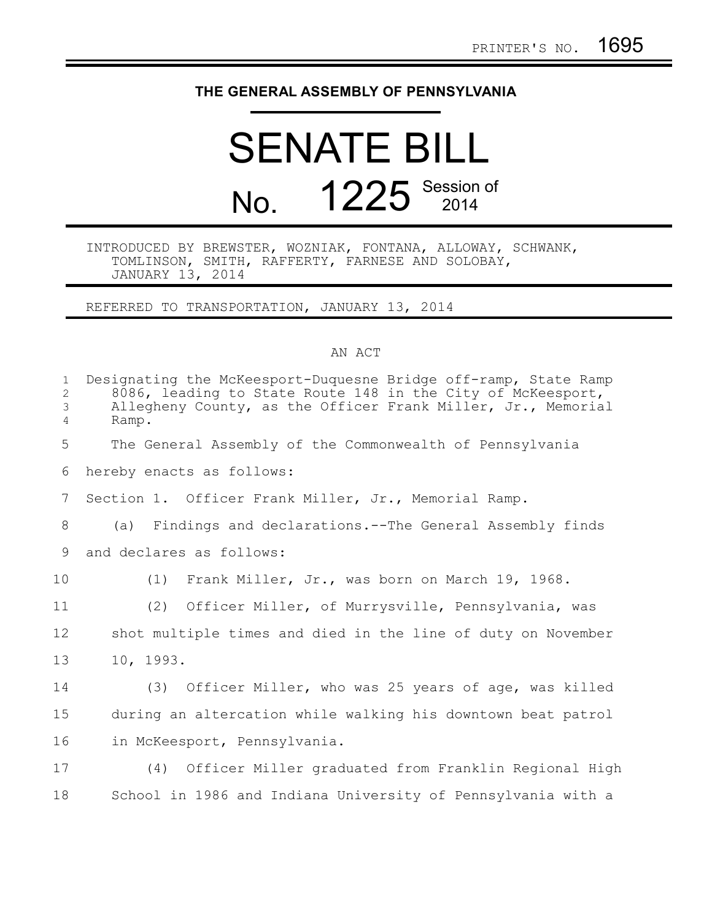## **THE GENERAL ASSEMBLY OF PENNSYLVANIA**

## SENATE BILL No. **1225** Session of

## INTRODUCED BY BREWSTER, WOZNIAK, FONTANA, ALLOWAY, SCHWANK, TOMLINSON, SMITH, RAFFERTY, FARNESE AND SOLOBAY, JANUARY 13, 2014

REFERRED TO TRANSPORTATION, JANUARY 13, 2014

## AN ACT

| $\mathbf{1}$<br>$\overline{2}$<br>3<br>4 | Designating the McKeesport-Duquesne Bridge off-ramp, State Ramp<br>8086, leading to State Route 148 in the City of McKeesport,<br>Allegheny County, as the Officer Frank Miller, Jr., Memorial<br>Ramp. |
|------------------------------------------|---------------------------------------------------------------------------------------------------------------------------------------------------------------------------------------------------------|
| 5                                        | The General Assembly of the Commonwealth of Pennsylvania                                                                                                                                                |
| 6                                        | hereby enacts as follows:                                                                                                                                                                               |
| 7                                        | Section 1. Officer Frank Miller, Jr., Memorial Ramp.                                                                                                                                                    |
| 8                                        | (a) Findings and declarations.--The General Assembly finds                                                                                                                                              |
| 9                                        | and declares as follows:                                                                                                                                                                                |
| 10                                       | (1) Frank Miller, Jr., was born on March 19, 1968.                                                                                                                                                      |
| 11                                       | (2) Officer Miller, of Murrysville, Pennsylvania, was                                                                                                                                                   |
| 12                                       | shot multiple times and died in the line of duty on November                                                                                                                                            |
| 13                                       | 10, 1993.                                                                                                                                                                                               |
| 14                                       | (3) Officer Miller, who was 25 years of age, was killed                                                                                                                                                 |
| 15                                       | during an altercation while walking his downtown beat patrol                                                                                                                                            |
| 16                                       | in McKeesport, Pennsylvania.                                                                                                                                                                            |
| 17                                       | (4) Officer Miller graduated from Franklin Regional High                                                                                                                                                |
| 18                                       | School in 1986 and Indiana University of Pennsylvania with a                                                                                                                                            |